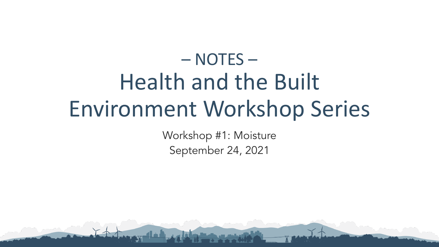## – NOTES – Health and the Built Environment Workshop Series

Workshop #1: Moisture September 24, 2021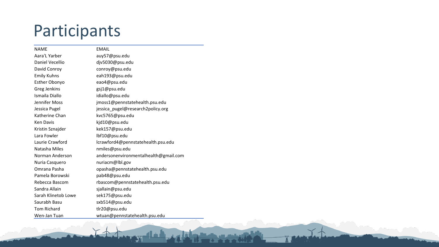### Participants

| <b>NAME</b>          | <b>EMAIL</b>                          |
|----------------------|---------------------------------------|
| Aara'L Yarber        | auy57@psu.edu                         |
| Daniel Vecellio      | djv5030@psu.edu                       |
| David Conroy         | conroy@psu.edu                        |
| <b>Emily Kuhns</b>   | eah193@psu.edu                        |
| <b>Esther Obonyo</b> | eao4@psu.edu                          |
| Greg Jenkins         | gsj1@psu.edu                          |
| Ismaila Diallo       | idiallo@psu.edu                       |
| Jennifer Moss        | jmoss1@pennstatehealth.psu.edu        |
| Jessica Pugel        | jessica_pugel@research2policy.org     |
| Katherine Chan       | kvc5765@psu.edu                       |
| Ken Davis            | kjd10@psu.edu                         |
| Kristin Sznajder     | kek157@psu.edu                        |
| Lara Fowler          | lbf10@psu.edu                         |
| Laurie Crawford      | lcrawford4@pennstatehealth.psu.edu    |
| Natasha Miles        | nmiles@psu.edu                        |
| Norman Anderson      | andersonenvironmentalhealth@gmail.com |
| Nuria Casquero       | nuriacm@lbl.gov                       |
| Omrana Pasha         | opasha@pennstatehealth.psu.edu        |
| Pamela Borowski      | pab48@psu.edu                         |
| Rebecca Bascom       | rbascom@pennstatehealth.psu.edu       |
| Sandra Allain        | sjallain@psu.edu                      |
| Sarah Klinetob Lowe  | sek175@psu.edu                        |
| Saurabh Basu         | sxb514@psu.edu                        |
| <b>Tom Richard</b>   | tlr20@psu.edu                         |
| Wen-Jan Tuan         | wtuan@pennstatehealth.psu.edu         |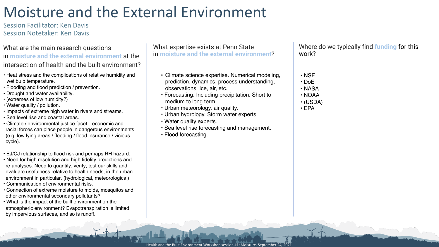### Moisture and the External Environment

Session Facilitator: Ken Davis Session Notetaker: Ken Davis

#### What are the main research questions in **moisture and the external environment** at the intersection of health and the built environment?

- Heat stress and the complications of relative humidity and wet bulb temperature.
- Flooding and flood prediction / prevention.
- Drought and water availability.
- (extremes of low humidity?)
- Water quality / pollution.
- Impacts of extreme high water in rivers and streams.
- Sea level rise and coastal areas.
- Climate / environmental justice facet…economic and racial forces can place people in dangerous environments (e.g. low lying areas / flooding / flood insurance / vicious cycle).
- EJ/CJ relationship to flood risk and perhaps RH hazard.
- Need for high resolution and high fidelity predictions and re-analyses. Need to quantify, verify, test our skills and evaluate usefulness relative to health needs, in the urban environment in particular. (hydrological, meteorological)
- Communication of environmental risks.
- Connection of extreme moisture to molds, mosquitos and other environmental secondary pollutants?
- What is the impact of the built environment on the atmospheric environment? Evapotranspiration is limited by impervious surfaces, and so is runoff.

What expertise exists at Penn State in **moisture and the external environment**?

- Climate science expertise. Numerical modeling, prediction, dynamics, process understanding, observations. Ice, air, etc.
- Forecasting. Including precipitation. Short to medium to long term.
- Urban meteorology, air quality.
- Urban hydrology. Storm water experts.
- Water quality experts.
- Sea level rise forecasting and management.
- Flood forecasting.

- NSF
- DoE
- NASA
- NOAA
- (USDA)
- EPA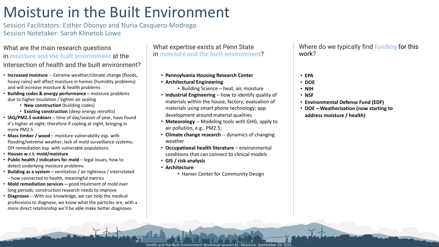### Moisture in the Built Environment

Session Facilitators: Esther Obonyo and Nuria Casquero-Modrego Session Notetaker: Sarah Klinetob Lowe

#### What are the main research questions in **moisture and the built environment** at the intersection of health and the built environment?

- **Increased moisture** -- Extreme weather/climate change (floods, heavy rains) will affect moisture in homes (humidity problems) and will increase moisture & health problems
- **Building codes & energy performance**  moisture problems due to higher insulation / tighter air sealing
	- **New construction** (building codes)
	- **Existing construction** (deep energy retrofits)
- **IAQ/PM2.5 outdoors** time of day/season of year, have found it's higher at night; therefore if cooling at night, bringing in more PM2.5
- **Mass timber / wood**  moisture vulnerability esp. with flooding/extreme weather, lack of mold surveillance systems; DIY remediation esp. with vulnerable populations
- **Houses w.r.t. mold/moisture**
- **Public health / indicators for mold** legal issues, how to detect underlying moisture problems
- **Building as a system**  ventilation / air tightness / interrelated – how connected to health, meaningful metrics
- **Mold remediation services --** good treatment of mold over long periods, construction research needs to improve
- **Diagnoses** -- With our knowledge, we can help the medical professions to diagnose, we know what the particles are, with a more direct relationship we'll be able make better diagnoses

What expertise exists at Penn State in **moisture and the built environment**?

- **Pennsylvania Housing Research Center**
- **Architectural Engineering**
	- Building Science heat, air, moisture
- **Industrial Engineering**  how to identify quality of materials within the house, factory; evaluation of materials using smart phone technology; app development around material qualities
- **Meteorology** -- Modeling tools with GHG, apply to air pollution, e.g., PM2.5;
- **Climate change research** -- dynamics of changing weather
- **Occupational health literature**  environmental conditions that can connect to clinical models
- **GIS / risk analysis**
- **Architecture** 
	- Hamer Center for Community Design

- **EPA**
- **DOE**
- **NIH**
- **NSF**
- **Environmental Defense Fund (EDF)**
- **DOE – Weatherization (now starting to address moisture / health)**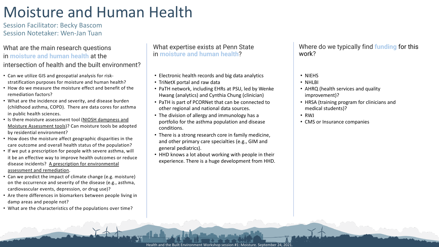### Moisture and Human Health

Session Facilitator: Becky Bascom Session Notetaker: Wen-Jan Tuan

#### What are the main research questions in **moisture and human health** at the intersection of health and the built environment?

- Can we utilize GIS and geospatial analysis for riskstratification purposes for moisture and human health?
- How do we measure the moisture effect and benefit of the remediation factors?
- What are the incidence and severity, and disease burden (childhood asthma, COPD). There are data cores for asthma in public health sciences.
- Is there moisture assessment tool (NIOSH dampness and Moisture Assessment tools)? Can moisture tools be adopted by residential environment?
- How does the moisture affect geographic disparities in the care outcome and overall health status of the population?
- If we put a prescription for people with severe asthma, will it be an effective way to improve health outcomes or reduce disease incidents? A prescription for environmental assessment and remediation.
- Can we predict the impact of climate change (e.g. moisture) on the occurrence and severity of the disease (e.g., asthma, cardiovascular events, depression, or drug use)?
- Are there differences in biomarkers between people living in damp areas and people not?
- What are the characteristics of the populations over time?

What expertise exists at Penn State in **moisture and human health**?

- Electronic health records and big data analytics
- TriNetX portal and raw data
- PaTH network, including EHRs at PSU, led by Wenke Hwang (analytics) and Cynthia Chung (clinician)
- PaTH is part of PCORNet that can be connected to other regional and national data sources.
- The division of allergy and immunology has a portfolio for the asthma population and disease conditions.
- There is a strong research core in family medicine, and other primary care specialties (e.g., GIM and general pediatrics).
- HHD knows a lot about working with people in their experience. There is a huge development from HHD.

- NIEHS
- NHLBI
- AHRQ (health services and quality improvement)?
- HRSA (training program for clinicians and medical students)?
- RWJ
- CMS or Insurance companies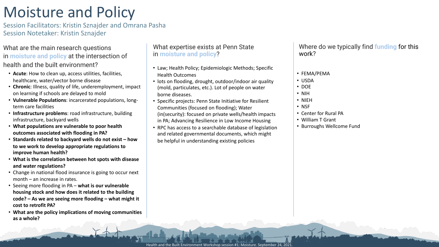### Moisture and Policy

Session Facilitators: Kristin Sznajder and Omrana Pasha Session Notetaker: Kristin Sznajder

#### What are the main research questions in **moisture and policy** at the intersection of health and the built environment?

- **Acute**: How to clean up, access utilities, facilities, healthcare, water/vector borne disease
- **Chronic**: Illness, quality of life, underemployment, impact on learning if schools are delayed to mold
- **Vulnerable Populations**: incarcerated populations, longterm care facilities
- **Infrastructure problems**: road infrastructure, building infrastructure, backyard wells
- **What populations are vulnerable to poor health outcomes associated with flooding in PA?**
- **Standards related to backyard wells do not exist – how to we work to develop appropriate regulations to improve human health?**
- **What is the correlation between hot spots with disease and water regulations?**
- Change in national flood insurance is going to occur next month – an increase in rates.
- Seeing more flooding in PA **what is our vulnerable housing stock and how does it related to the building code? – As we are seeing more flooding – what might it cost to retrofit PA?**
- **What are the policy implications of moving communities as a whole?**

#### What expertise exists at Penn State in **moisture and policy**?

- Law; Health Policy; Epidemiologic Methods; Specific Health Outcomes
- lots on flooding, drought, outdoor/indoor air quality (mold, particulates, etc.). Lot of people on water borne diseases.
- Specific projects: Penn State Initiative for Resilient Communities (focused on flooding); Water (in(security): focused on private wells/health impacts in PA; Advancing Resilience in Low Income Housing
- RPC has access to a searchable database of legislation and related governmental documents, which might be helpful in understanding existing policies

- FEMA/PEMA
- USDA
- DOE
- NIH
- NIEH
- NSF
- Center for Rural PA
- William T Grant
- Burroughs Wellcome Fund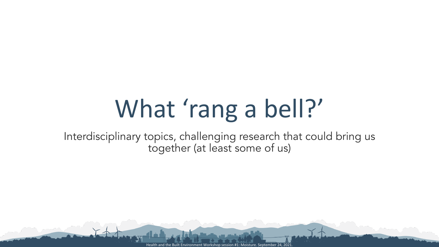# What 'rang a bell?'

Interdisciplinary topics, challenging research that could bring us together (at least some of us)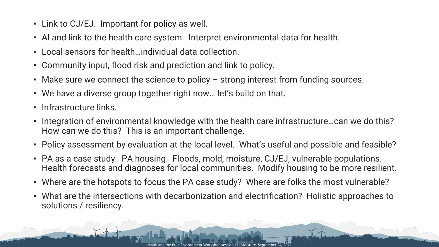- Link to CJ/EJ. Important for policy as well.
- AI and link to the health care system. Interpret environmental data for health.
- Local sensors for health…individual data collection.
- Community input, flood risk and prediction and link to policy.
- Make sure we connect the science to policy strong interest from funding sources.
- We have a diverse group together right now… let's build on that.
- Infrastructure links.
- Integration of environmental knowledge with the health care infrastructure…can we do this? How can we do this? This is an important challenge.
- Policy assessment by evaluation at the local level. What's useful and possible and feasible?
- PA as a case study. PA housing. Floods, mold, moisture, CJ/EJ, vulnerable populations. Health forecasts and diagnoses for local communities. Modify housing to be more resilient.
- Where are the hotspots to focus the PA case study? Where are folks the most vulnerable?
- What are the intersections with decarbonization and electrification? Holistic approaches to solutions / resiliency.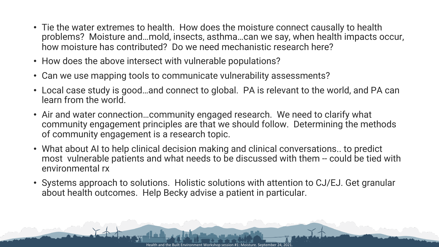- Tie the water extremes to health. How does the moisture connect causally to health problems? Moisture and…mold, insects, asthma…can we say, when health impacts occur, how moisture has contributed? Do we need mechanistic research here?
- How does the above intersect with vulnerable populations?
- Can we use mapping tools to communicate vulnerability assessments?
- Local case study is good…and connect to global. PA is relevant to the world, and PA can learn from the world.
- Air and water connection…community engaged research. We need to clarify what community engagement principles are that we should follow. Determining the methods of community engagement is a research topic.
- What about AI to help clinical decision making and clinical conversations.. to predict most vulnerable patients and what needs to be discussed with them -- could be tied with environmental rx
- Systems approach to solutions. Holistic solutions with attention to CJ/EJ. Get granular about health outcomes. Help Becky advise a patient in particular.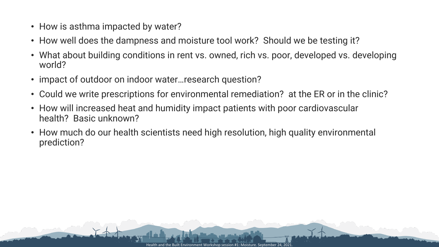- How is asthma impacted by water?
- How well does the dampness and moisture tool work? Should we be testing it?
- What about building conditions in rent vs. owned, rich vs. poor, developed vs. developing world?
- impact of outdoor on indoor water... research question?
- Could we write prescriptions for environmental remediation? at the ER or in the clinic?
- How will increased heat and humidity impact patients with poor cardiovascular health? Basic unknown?
- How much do our health scientists need high resolution, high quality environmental prediction?